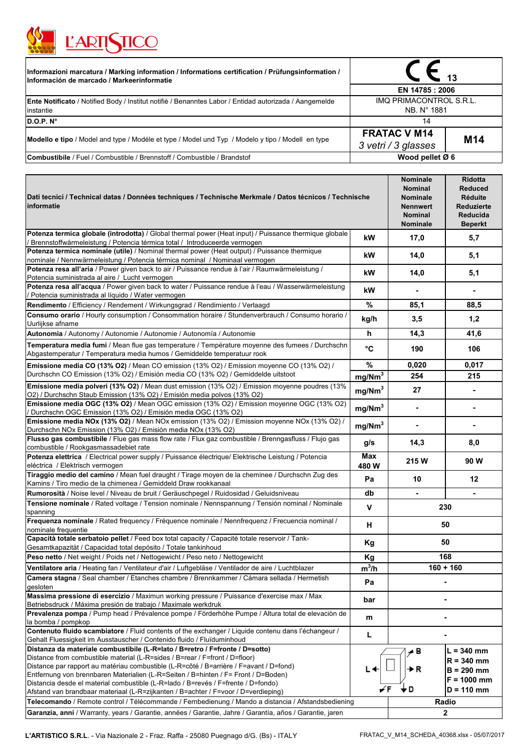

| Informazioni marcatura / Marking information / Informations certification / Prüfungsinformation /<br>Información de marcado / Markeerinformatie |                                        |                 |  |
|-------------------------------------------------------------------------------------------------------------------------------------------------|----------------------------------------|-----------------|--|
|                                                                                                                                                 | EN 14785 : 2006                        |                 |  |
| <b>Ente Notificato</b> / Notified Body / Institut notifie / Benanntes Labor / Entidad autorizada / Aangemelde<br>instantie                      | IMQ PRIMACONTROL S.R.L.<br>NB. N° 1881 |                 |  |
| D.O.P. N°                                                                                                                                       | 14                                     |                 |  |
| Modello e tipo / Model and type / Modéle et type / Model und Typ / Modelo y tipo / Modell en type                                               | <b>FRATAC V M14</b>                    | M <sub>14</sub> |  |
|                                                                                                                                                 | 3 vetri / 3 glasses                    |                 |  |
| Combustibile / Fuel / Combustible / Brennstoff / Combustible / Brandstof                                                                        | Wood pellet Ø 6                        |                 |  |

| Dati tecnici / Technical datas / Données techniques / Technische Merkmale / Datos técnicos / Technische<br><b>Informatie</b>                                                                                                                                                                                                                                                                                                                                                                                                                                                                                                  |                    |                  | <b>Réduite</b><br>Reduzierte<br>Reducida<br><b>Beperkt</b>                             |
|-------------------------------------------------------------------------------------------------------------------------------------------------------------------------------------------------------------------------------------------------------------------------------------------------------------------------------------------------------------------------------------------------------------------------------------------------------------------------------------------------------------------------------------------------------------------------------------------------------------------------------|--------------------|------------------|----------------------------------------------------------------------------------------|
| Potenza termica globale (introdotta) / Global thermal power (Heat input) / Puissance thermique globale<br>Brennstoffwärmeleistung / Potencia térmica total / Introduceerde vermogen                                                                                                                                                                                                                                                                                                                                                                                                                                           | kW                 | 17,0             | 5,7                                                                                    |
| Potenza termica nominale (utile) / Nominal thermal power (Heat output) / Puissance thermique<br>nominale / Nennwärmeleistung / Potencia térmica nominal / Nominaal vermogen                                                                                                                                                                                                                                                                                                                                                                                                                                                   | kW                 | 14,0             | 5,1                                                                                    |
| Potenza resa all'aria / Power given back to air / Puissance rendue à l'air / Raumwärmeleistung /<br>Potencia suministrada al aire / Lucht vermogen                                                                                                                                                                                                                                                                                                                                                                                                                                                                            | kW                 | 14,0             | 5,1                                                                                    |
| Potenza resa all'acqua / Power given back to water / Puissance rendue à l'eau / Wasserwärmeleistung<br>/ Potencia suministrada al líquido / Water vermogen                                                                                                                                                                                                                                                                                                                                                                                                                                                                    | kW                 | $\blacksquare$   | $\blacksquare$                                                                         |
| Rendimento / Efficiency / Rendement / Wirkungsgrad / Rendimiento / Verlaagd                                                                                                                                                                                                                                                                                                                                                                                                                                                                                                                                                   | $\%$               | 85,1             | 88,5                                                                                   |
| Consumo orario / Hourly consumption / Consommation horaire / Stundenverbrauch / Consumo horario /<br>Uurlijkse afname                                                                                                                                                                                                                                                                                                                                                                                                                                                                                                         | kg/h               | 3,5              | 1,2                                                                                    |
| Autonomia / Autonomy / Autonomie / Autonomie / Autonomía / Autonomie                                                                                                                                                                                                                                                                                                                                                                                                                                                                                                                                                          | h                  | 14,3             | 41,6                                                                                   |
| Temperatura media fumi / Mean flue gas temperature / Température moyenne des fumees / Durchschn<br>Abgastemperatur / Temperatura media humos / Gemiddelde temperatuur rook                                                                                                                                                                                                                                                                                                                                                                                                                                                    | °C                 | 190              | 106                                                                                    |
| Emissione media CO (13% O2) / Mean CO emission (13% O2) / Emission moyenne CO (13% O2) /                                                                                                                                                                                                                                                                                                                                                                                                                                                                                                                                      | $\%$               | 0,020            | 0,017                                                                                  |
| Durchschn CO Emission (13% O2) / Emisión media CO (13% O2) / Gemiddelde uitstoot                                                                                                                                                                                                                                                                                                                                                                                                                                                                                                                                              | mg/Nm <sup>3</sup> | 254              | 215                                                                                    |
| Emissione media polveri (13% O2) / Mean dust emission (13% O2) / Emission moyenne poudres (13%<br>O2) / Durchschn Staub Emission (13% O2) / Emisión media polvos (13% O2)                                                                                                                                                                                                                                                                                                                                                                                                                                                     | mg/Nm <sup>3</sup> | 27               |                                                                                        |
| Emissione media OGC (13% O2) / Mean OGC emission (13% O2) / Emission moyenne OGC (13% O2)<br>/ Durchschn OGC Emission (13% O2) / Emisión media OGC (13% O2)                                                                                                                                                                                                                                                                                                                                                                                                                                                                   | mg/Nm <sup>3</sup> | $\blacksquare$   |                                                                                        |
| Emissione media NOx (13% O2) / Mean NOx emission (13% O2) / Emission moyenne NOx (13% O2) /<br>Durchschn NOx Emission (13% O2) / Emisión media NOx (13% O2)                                                                                                                                                                                                                                                                                                                                                                                                                                                                   | mg/Nm <sup>3</sup> | ä,               |                                                                                        |
| Flusso gas combustibile / Flue gas mass flow rate / Flux gaz combustible / Brenngasfluss / Flujo gas<br>combustible / Rookgasmassadebiet rate                                                                                                                                                                                                                                                                                                                                                                                                                                                                                 | g/s                | 14,3             | 8,0                                                                                    |
| Potenza elettrica / Electrical power supply / Puissance électrique/ Elektrische Leistung / Potencia<br>eléctrica / Elektrisch vermogen                                                                                                                                                                                                                                                                                                                                                                                                                                                                                        | <b>Max</b><br>480W | 215 W            | 90 W                                                                                   |
| Tiraggio medio del camino / Mean fuel draught / Tirage moyen de la cheminee / Durchschn Zug des<br>Kamins / Tiro medio de la chimenea / Gemiddeld Draw rookkanaal                                                                                                                                                                                                                                                                                                                                                                                                                                                             | Pa                 | 10               | 12                                                                                     |
| Rumorosità / Noise level / Niveau de bruit / Geräuschpegel / Ruidosidad / Geluidsniveau                                                                                                                                                                                                                                                                                                                                                                                                                                                                                                                                       | db                 | $\blacksquare$   | $\blacksquare$                                                                         |
| Tensione nominale / Rated voltage / Tension nominale / Nennspannung / Tensión nominal / Nominale<br>spanning                                                                                                                                                                                                                                                                                                                                                                                                                                                                                                                  | $\mathbf v$        | 230              |                                                                                        |
| Frequenza nominale / Rated frequency / Fréquence nominale / Nennfrequenz / Frecuencia nominal /<br>nominale frequentie                                                                                                                                                                                                                                                                                                                                                                                                                                                                                                        | H                  | 50               |                                                                                        |
| Capacità totale serbatoio pellet / Feed box total capacity / Capacité totale reservoir / Tank-<br>Gesamtkapazität / Capacidad total depósito / Totale tankinhoud                                                                                                                                                                                                                                                                                                                                                                                                                                                              | Kg                 | 50               |                                                                                        |
| Peso netto / Net weight / Poids net / Nettogewicht / Peso neto / Nettogewicht                                                                                                                                                                                                                                                                                                                                                                                                                                                                                                                                                 | Kg                 | 168              |                                                                                        |
| Ventilatore aria / Heating fan / Ventilateur d'air / Luftgebläse / Ventilador de aire / Luchtblazer                                                                                                                                                                                                                                                                                                                                                                                                                                                                                                                           | $m^3/h$            |                  | $160 + 160$                                                                            |
| <b>Camera stagna</b> / Seal chamber / Etanches chambre / Brennkammer / Cámara sellada / Hermetish<br>gesloten                                                                                                                                                                                                                                                                                                                                                                                                                                                                                                                 | Pa                 |                  |                                                                                        |
| Massima pressione di esercizio / Maximun working pressure / Puissance d'exercise max / Max<br>Betriebsdruck / Máxima presión de trabajo / Maximale werkdruk                                                                                                                                                                                                                                                                                                                                                                                                                                                                   | bar                |                  |                                                                                        |
| Prevalenza pompa / Pump head / Prévalence pompe / Förderhöhe Pumpe / Altura total de elevación de<br>la bomba / pompkop                                                                                                                                                                                                                                                                                                                                                                                                                                                                                                       | m                  |                  |                                                                                        |
| Contenuto fluido scambiatore / Fluid contents of the exchanger / Liquide contenu dans l'échangeur /<br>Gehalt Fluessigkeit im Ausstauscher / Contenido fluido / Fluïduminhoud                                                                                                                                                                                                                                                                                                                                                                                                                                                 | L                  |                  |                                                                                        |
| Distanza da materiale combustibile (L-R=lato / B=retro / F=fronte / D=sotto)<br>Distance from combustible material (L-R=sides / B=rear / F=front / D=floor)<br>Distance par rapport au matériau combustible (L-R=côté / B=arrière / F=avant / D=fond)<br>Entfernung von brennbaren Materialien (L-R=Seiten / B=hinten / F= Front / D=Boden)<br>Distancia desde el material combustible (L-R=lado / B=revés / F=frente / D=fondo)<br>Afstand van brandbaar materiaal (L-R=zijkanten / B=achter / F=voor / D=verdieping)<br>Telecomando / Remote control / Télécommande / Fernbedienung / Mando a distancia / Afstandsbediening | L ←                | ∡ B<br>→R<br>- D | $L = 340$ mm<br>$R = 340$ mm<br>$B = 290$ mm<br>$F = 1000$ mm<br>$D = 110$ mm<br>Radio |
| Garanzia, anni / Warranty, years / Garantie, années / Garantie, Jahre / Garantía, años / Garantie, jaren                                                                                                                                                                                                                                                                                                                                                                                                                                                                                                                      |                    |                  | $\mathbf{2}$                                                                           |